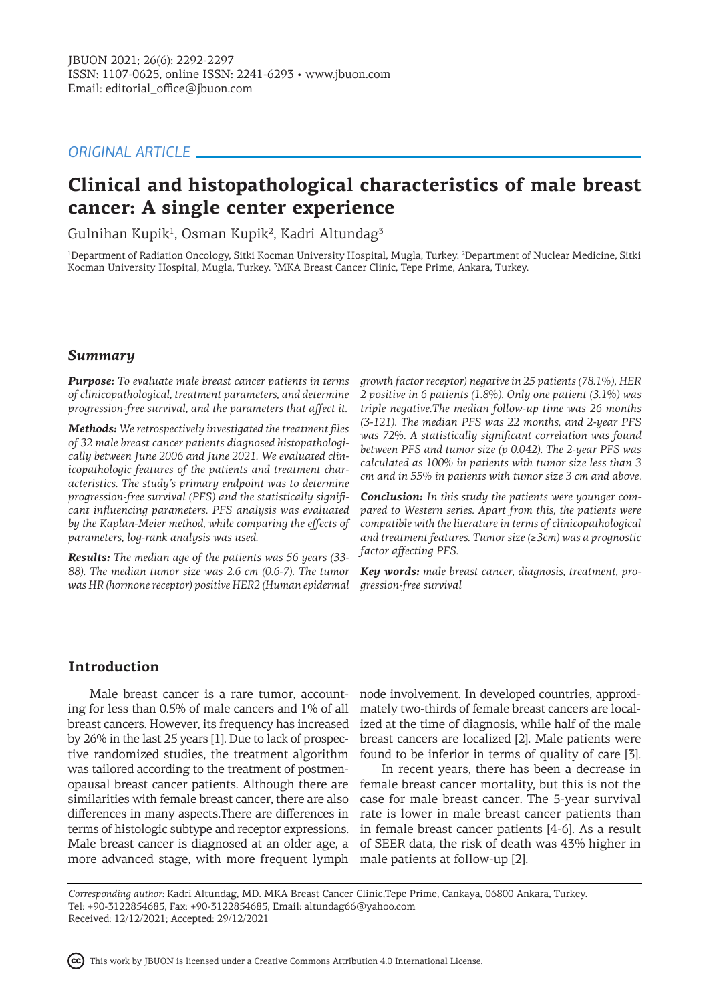## *ORIGINAL ARTICLE*

# **Clinical and histopathological characteristics of male breast cancer: A single center experience**

Gulnihan Kupik<sup>1</sup>, Osman Kupik<sup>2</sup>, Kadri Altundag<sup>3</sup>

<sup>1</sup>Department of Radiation Oncology, Sitki Kocman University Hospital, Mugla, Turkey. <sup>2</sup>Department of Nuclear Medicine, Sitki Kocman University Hospital, Mugla, Turkey. <sup>3</sup>MKA Breast Cancer Clinic, Tepe Prime, Ankara, Turkey.

#### *Summary*

*Purpose: To evaluate male breast cancer patients in terms of clinicopathological, treatment parameters, and determine progression-free survival, and the parameters that affect it.*

*Methods: We retrospectively investigated the treatment files of 32 male breast cancer patients diagnosed histopathologically between June 2006 and June 2021. We evaluated clinicopathologic features of the patients and treatment characteristics. The study's primary endpoint was to determine progression-free survival (PFS) and the statistically significant influencing parameters. PFS analysis was evaluated by the Kaplan-Meier method, while comparing the effects of parameters, log-rank analysis was used.* 

*Results: The median age of the patients was 56 years (33- 88). The median tumor size was 2.6 cm (0.6-7). The tumor was HR (hormone receptor) positive HER2 (Human epidermal*  *growth factor receptor) negative in 25 patients (78.1%), HER 2 positive in 6 patients (1.8%). Only one patient (3.1%) was triple negative.The median follow-up time was 26 months (3-121). The median PFS was 22 months, and 2-year PFS was 72%. A statistically significant correlation was found between PFS and tumor size (p 0.042). The 2-year PFS was calculated as 100% in patients with tumor size less than 3 cm and in 55% in patients with tumor size 3 cm and above.* 

*Conclusion: In this study the patients were younger compared to Western series. Apart from this, the patients were compatible with the literature in terms of clinicopathological and treatment features. Tumor size (≥3cm) was a prognostic factor affecting PFS.*

*Key words: male breast cancer, diagnosis, treatment, progression-free survival*

# **Introduction**

Male breast cancer is a rare tumor, accounting for less than 0.5% of male cancers and 1% of all breast cancers. However, its frequency has increased by 26% in the last 25 years [1]. Due to lack of prospective randomized studies, the treatment algorithm was tailored according to the treatment of postmenopausal breast cancer patients. Although there are similarities with female breast cancer, there are also differences in many aspects.There are differences in terms of histologic subtype and receptor expressions. Male breast cancer is diagnosed at an older age, a more advanced stage, with more frequent lymph male patients at follow-up [2].

node involvement. In developed countries, approximately two-thirds of female breast cancers are localized at the time of diagnosis, while half of the male breast cancers are localized [2]. Male patients were found to be inferior in terms of quality of care [3].

In recent years, there has been a decrease in female breast cancer mortality, but this is not the case for male breast cancer. The 5-year survival rate is lower in male breast cancer patients than in female breast cancer patients [4-6]. As a result of SEER data, the risk of death was 43% higher in

*Corresponding author:* Kadri Altundag, MD. MKA Breast Cancer Clinic,Tepe Prime, Cankaya, 06800 Ankara, Turkey. Tel: +90-3122854685, Fax: +90-3122854685, Email: altundag66@yahoo.com Received: 12/12/2021; Accepted: 29/12/2021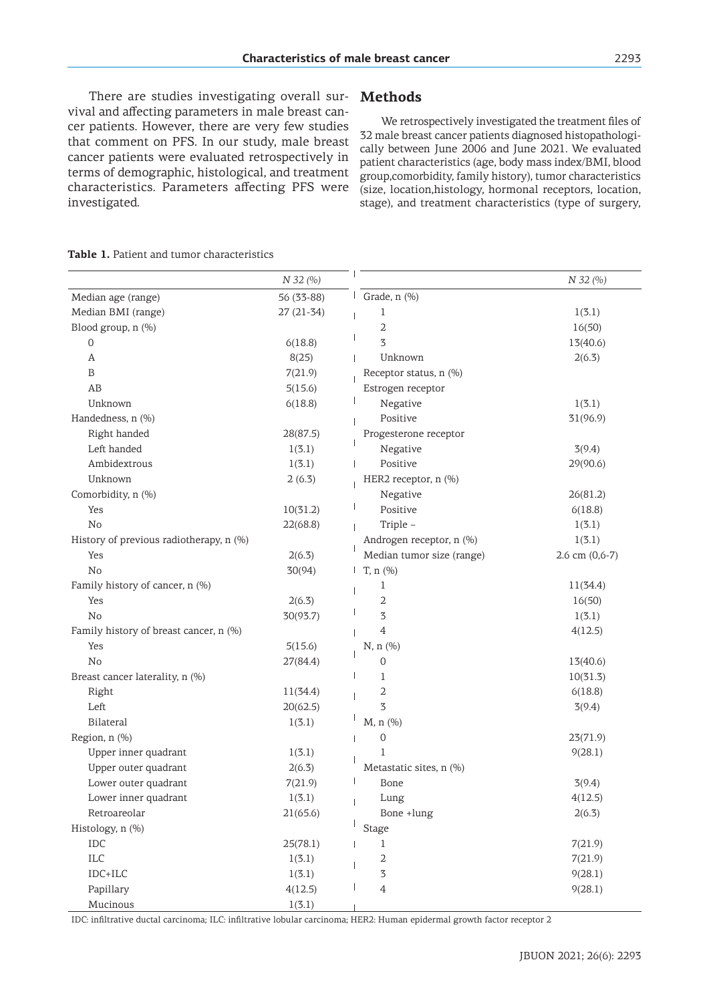There are studies investigating overall survival and affecting parameters in male breast cancer patients. However, there are very few studies that comment on PFS. In our study, male breast cancer patients were evaluated retrospectively in terms of demographic, histological, and treatment characteristics. Parameters affecting PFS were investigated.

### **Methods**

We retrospectively investigated the treatment files of 32 male breast cancer patients diagnosed histopathologically between June 2006 and June 2021. We evaluated patient characteristics (age, body mass index/BMI, blood group,comorbidity, family history), tumor characteristics (size, location,histology, hormonal receptors, location, stage), and treatment characteristics (type of surgery,

**Table 1.** Patient and tumor characteristics

|                                         | N 32 (%)    |                           | N 32 (%)           |
|-----------------------------------------|-------------|---------------------------|--------------------|
| Median age (range)                      | 56 (33-88)  | Grade, n (%)              |                    |
| Median BMI (range)                      | $27(21-34)$ | 1                         | 1(3.1)             |
| Blood group, n (%)                      |             | 2                         | 16(50)             |
| 0                                       | 6(18.8)     | 3                         | 13(40.6)           |
| A                                       | 8(25)       | Unknown                   | 2(6.3)             |
| $\, {\bf B}$                            | 7(21.9)     | Receptor status, n (%)    |                    |
| AB                                      | 5(15.6)     | Estrogen receptor         |                    |
| Unknown                                 | 6(18.8)     | Negative                  | 1(3.1)             |
| Handedness, n (%)                       |             | Positive                  | 31(96.9)           |
| Right handed                            | 28(87.5)    | Progesterone receptor     |                    |
| Left handed                             | 1(3.1)      | Negative                  | 3(9.4)             |
| Ambidextrous                            | 1(3.1)      | Positive                  | 29(90.6)           |
| Unknown                                 | 2(6.3)      | HER2 receptor, n (%)      |                    |
| Comorbidity, n (%)                      |             | Negative                  | 26(81.2)           |
| Yes                                     | 10(31.2)    | Positive                  | 6(18.8)            |
| No                                      | 22(68.8)    | Triple -                  | 1(3.1)             |
| History of previous radiotherapy, n (%) |             | Androgen receptor, n (%)  | 1(3.1)             |
| Yes                                     | 2(6.3)      | Median tumor size (range) | $2.6$ cm $(0,6-7)$ |
| No                                      | 30(94)      | T, n (%)                  |                    |
| Family history of cancer, n (%)         |             | 1                         | 11(34.4)           |
| Yes                                     | 2(6.3)      | 2                         | 16(50)             |
| No                                      | 30(93.7)    | 3                         | 1(3.1)             |
| Family history of breast cancer, n (%)  |             | $\overline{4}$            | 4(12.5)            |
| Yes                                     | 5(15.6)     | N, n (%)                  |                    |
| No                                      | 27(84.4)    | 0                         | 13(40.6)           |
| Breast cancer laterality, n (%)         |             | 1                         | 10(31.3)           |
| Right                                   | 11(34.4)    | 2                         | 6(18.8)            |
| Left                                    | 20(62.5)    | 3                         | 3(9.4)             |
| Bilateral                               | 1(3.1)      | M, n (%)                  |                    |
| Region, n (%)                           |             | 0                         | 23(71.9)           |
| Upper inner quadrant                    | 1(3.1)      |                           | 9(28.1)            |
| Upper outer quadrant                    | 2(6.3)      | Metastatic sites, n (%)   |                    |
| Lower outer quadrant                    | 7(21.9)     | Bone                      | 3(9.4)             |
| Lower inner quadrant                    | 1(3.1)      | Lung                      | 4(12.5)            |
| Retroareolar                            | 21(65.6)    | Bone +lung                | 2(6.3)             |
| Histology, n (%)                        |             | <b>Stage</b>              |                    |
| IDC                                     | 25(78.1)    | 1                         | 7(21.9)            |
| ILC                                     | 1(3.1)      | 2                         | 7(21.9)            |
| $\mathrm{IDC+ILC}$                      | 1(3.1)      | 3                         | 9(28.1)            |
| Papillary                               | 4(12.5)     | 4                         | 9(28.1)            |
| Mucinous                                | 1(3.1)      |                           |                    |

IDC: infiltrative ductal carcinoma; ILC: infiltrative lobular carcinoma; HER2: Human epidermal growth factor receptor 2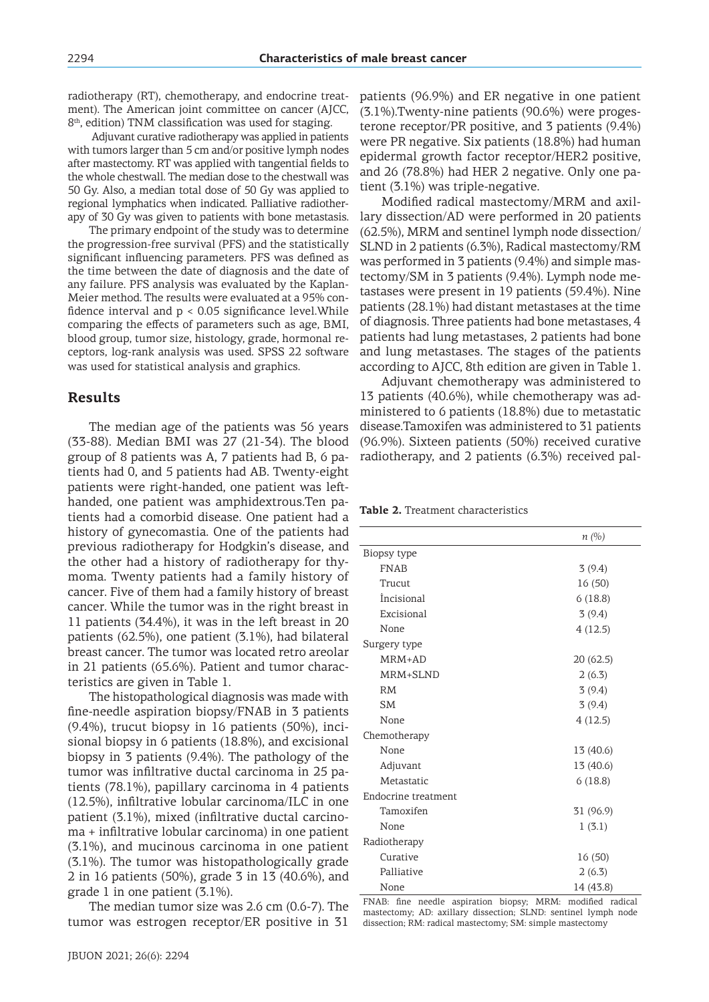radiotherapy (RT), chemotherapy, and endocrine treatment). The American joint committee on cancer (AJCC, 8<sup>th</sup>, edition) TNM classification was used for staging.

 Adjuvant curative radiotherapy was applied in patients with tumors larger than 5 cm and/or positive lymph nodes after mastectomy. RT was applied with tangential fields to the whole chestwall. The median dose to the chestwall was 50 Gy. Also, a median total dose of 50 Gy was applied to regional lymphatics when indicated. Palliative radiotherapy of 30 Gy was given to patients with bone metastasis.

The primary endpoint of the study was to determine the progression-free survival (PFS) and the statistically significant influencing parameters. PFS was defined as the time between the date of diagnosis and the date of any failure. PFS analysis was evaluated by the Kaplan-Meier method. The results were evaluated at a 95% confidence interval and  $p < 0.05$  significance level. While comparing the effects of parameters such as age, BMI, blood group, tumor size, histology, grade, hormonal receptors, log-rank analysis was used. SPSS 22 software was used for statistical analysis and graphics.

#### **Results**

The median age of the patients was 56 years (33-88). Median BMI was 27 (21-34). The blood group of 8 patients was A, 7 patients had B, 6 patients had 0, and 5 patients had AB. Twenty-eight patients were right-handed, one patient was lefthanded, one patient was amphidextrous.Ten patients had a comorbid disease. One patient had a history of gynecomastia. One of the patients had previous radiotherapy for Hodgkin's disease, and the other had a history of radiotherapy for thymoma. Twenty patients had a family history of cancer. Five of them had a family history of breast cancer. While the tumor was in the right breast in 11 patients (34.4%), it was in the left breast in 20 patients (62.5%), one patient (3.1%), had bilateral breast cancer. The tumor was located retro areolar in 21 patients (65.6%). Patient and tumor characteristics are given in Table 1.

The histopathological diagnosis was made with fine-needle aspiration biopsy/FNAB in 3 patients (9.4%), trucut biopsy in 16 patients (50%), incisional biopsy in 6 patients (18.8%), and excisional biopsy in 3 patients (9.4%). The pathology of the tumor was infiltrative ductal carcinoma in 25 patients (78.1%), papillary carcinoma in 4 patients (12.5%), infiltrative lobular carcinoma/ILC in one patient (3.1%), mixed (infiltrative ductal carcinoma + infiltrative lobular carcinoma) in one patient (3.1%), and mucinous carcinoma in one patient (3.1%). The tumor was histopathologically grade 2 in 16 patients (50%), grade 3 in 13 (40.6%), and grade 1 in one patient (3.1%).

The median tumor size was 2.6 cm (0.6-7). The tumor was estrogen receptor/ER positive in 31 patients (96.9%) and ER negative in one patient (3.1%).Twenty-nine patients (90.6%) were progesterone receptor/PR positive, and 3 patients (9.4%) were PR negative. Six patients (18.8%) had human epidermal growth factor receptor/HER2 positive, and 26 (78.8%) had HER 2 negative. Only one patient (3.1%) was triple-negative.

Modified radical mastectomy/MRM and axillary dissection/AD were performed in 20 patients (62.5%), MRM and sentinel lymph node dissection/ SLND in 2 patients (6.3%), Radical mastectomy/RM was performed in 3 patients (9.4%) and simple mastectomy/SM in 3 patients (9.4%). Lymph node metastases were present in 19 patients (59.4%). Nine patients (28.1%) had distant metastases at the time of diagnosis. Three patients had bone metastases, 4 patients had lung metastases, 2 patients had bone and lung metastases. The stages of the patients according to AJCC, 8th edition are given in Table 1.

Adjuvant chemotherapy was administered to 13 patients (40.6%), while chemotherapy was administered to 6 patients (18.8%) due to metastatic disease.Tamoxifen was administered to 31 patients (96.9%). Sixteen patients (50%) received curative radiotherapy, and 2 patients (6.3%) received pal-

**Table 2.** Treatment characteristics

|                     | n(%)      |
|---------------------|-----------|
| Biopsy type         |           |
| <b>FNAB</b>         | 3(9.4)    |
| Trucut              | 16 (50)   |
| <i>incisional</i>   | 6(18.8)   |
| Excisional          | 3(9.4)    |
| None                | 4(12.5)   |
| Surgery type        |           |
| $MRM+AD$            | 20(62.5)  |
| MRM+SLND            | 2(6.3)    |
| <b>RM</b>           | 3(9.4)    |
| <b>SM</b>           | 3(9.4)    |
| None                | 4(12.5)   |
| Chemotherapy        |           |
| None                | 13 (40.6) |
| Adjuvant            | 13 (40.6) |
| Metastatic          | 6(18.8)   |
| Endocrine treatment |           |
| Tamoxifen           | 31 (96.9) |
| None                | 1(3.1)    |
| Radiotherapy        |           |
| Curative            | 16 (50)   |
| Palliative          | 2(6.3)    |
| None                | 14 (43.8) |

FNAB: fine needle aspiration biopsy; MRM: modified radical mastectomy; AD: axillary dissection; SLND: sentinel lymph node dissection; RM: radical mastectomy; SM: simple mastectomy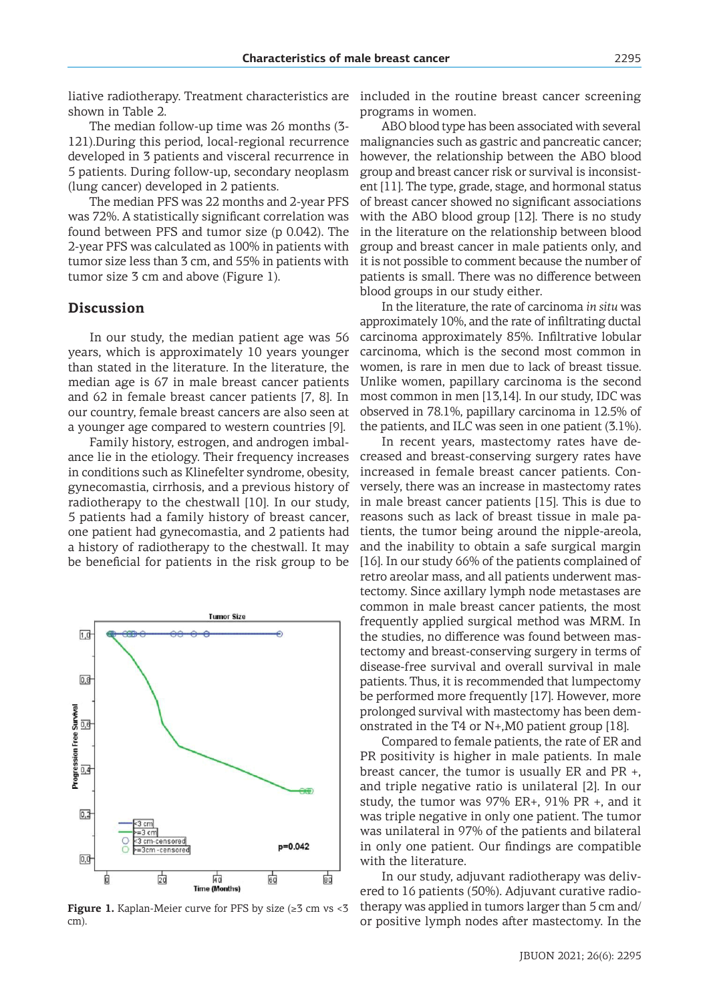liative radiotherapy. Treatment characteristics are included in the routine breast cancer screening shown in Table 2.

The median follow-up time was 26 months (3- 121).During this period, local-regional recurrence developed in 3 patients and visceral recurrence in 5 patients. During follow-up, secondary neoplasm (lung cancer) developed in 2 patients.

The median PFS was 22 months and 2-year PFS was 72%. A statistically significant correlation was found between PFS and tumor size (p 0.042). The 2-year PFS was calculated as 100% in patients with tumor size less than 3 cm, and 55% in patients with tumor size 3 cm and above (Figure 1).

#### **Discussion**

In our study, the median patient age was 56 years, which is approximately 10 years younger than stated in the literature. In the literature, the median age is 67 in male breast cancer patients and 62 in female breast cancer patients [7, 8]. In our country, female breast cancers are also seen at a younger age compared to western countries [9].

Family history, estrogen, and androgen imbalance lie in the etiology. Their frequency increases in conditions such as Klinefelter syndrome, obesity, gynecomastia, cirrhosis, and a previous history of radiotherapy to the chestwall [10]. In our study, 5 patients had a family history of breast cancer, one patient had gynecomastia, and 2 patients had a history of radiotherapy to the chestwall. It may be beneficial for patients in the risk group to be



**Figure 1.** Kaplan-Meier curve for PFS by size (≥3 cm vs <3 cm).

programs in women.

ABO blood type has been associated with several malignancies such as gastric and pancreatic cancer; however, the relationship between the ABO blood group and breast cancer risk or survival is inconsistent [11]. The type, grade, stage, and hormonal status of breast cancer showed no significant associations with the ABO blood group [12]. There is no study in the literature on the relationship between blood group and breast cancer in male patients only, and it is not possible to comment because the number of patients is small. There was no difference between blood groups in our study either.

In the literature, the rate of carcinoma *in situ* was approximately 10%, and the rate of infiltrating ductal carcinoma approximately 85%. Infiltrative lobular carcinoma, which is the second most common in women, is rare in men due to lack of breast tissue. Unlike women, papillary carcinoma is the second most common in men [13,14]. In our study, IDC was observed in 78.1%, papillary carcinoma in 12.5% of the patients, and ILC was seen in one patient (3.1%).

In recent years, mastectomy rates have decreased and breast-conserving surgery rates have increased in female breast cancer patients. Conversely, there was an increase in mastectomy rates in male breast cancer patients [15]. This is due to reasons such as lack of breast tissue in male patients, the tumor being around the nipple-areola, and the inability to obtain a safe surgical margin [16]. In our study 66% of the patients complained of retro areolar mass, and all patients underwent mastectomy. Since axillary lymph node metastases are common in male breast cancer patients, the most frequently applied surgical method was MRM. In the studies, no difference was found between mastectomy and breast-conserving surgery in terms of disease-free survival and overall survival in male patients. Thus, it is recommended that lumpectomy be performed more frequently [17]. However, more prolonged survival with mastectomy has been demonstrated in the T4 or N+,M0 patient group [18].

Compared to female patients, the rate of ER and PR positivity is higher in male patients. In male breast cancer, the tumor is usually ER and PR +, and triple negative ratio is unilateral [2]. In our study, the tumor was 97% ER+, 91% PR +, and it was triple negative in only one patient. The tumor was unilateral in 97% of the patients and bilateral in only one patient. Our findings are compatible with the literature.

In our study, adjuvant radiotherapy was delivered to 16 patients (50%). Adjuvant curative radiotherapy was applied in tumors larger than 5 cm and/ or positive lymph nodes after mastectomy. In the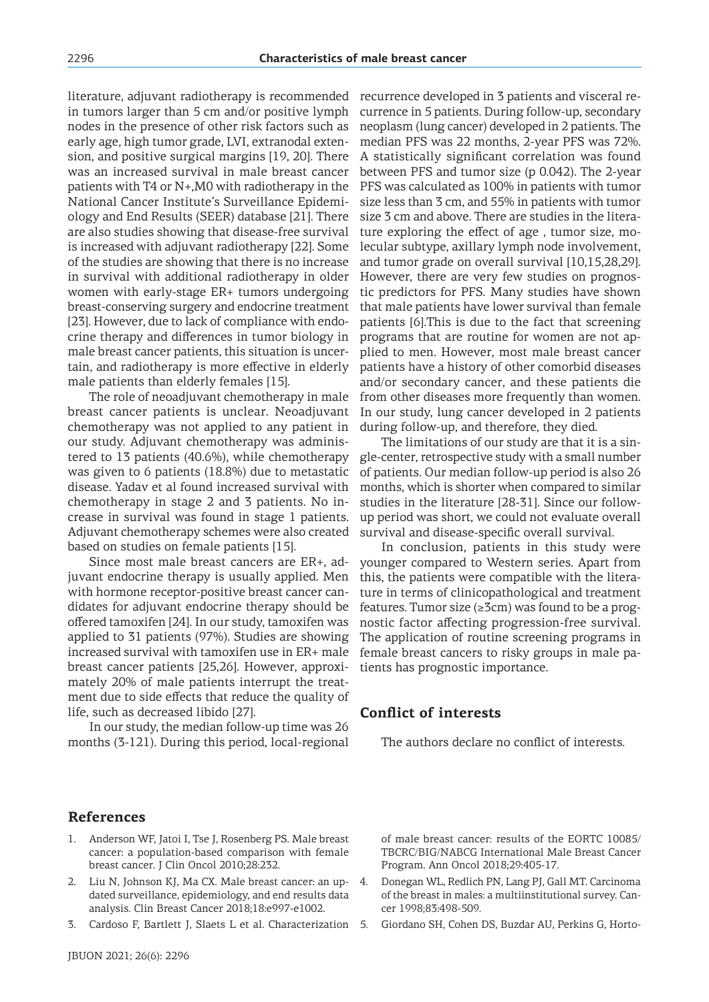literature, adjuvant radiotherapy is recommended recurrence developed in 3 patients and visceral rein tumors larger than 5 cm and/or positive lymph nodes in the presence of other risk factors such as early age, high tumor grade, LVI, extranodal extension, and positive surgical margins [19, 20]. There was an increased survival in male breast cancer patients with T4 or N+,M0 with radiotherapy in the National Cancer Institute's Surveillance Epidemiology and End Results (SEER) database [21]. There are also studies showing that disease-free survival is increased with adjuvant radiotherapy [22]. Some of the studies are showing that there is no increase in survival with additional radiotherapy in older women with early-stage ER+ tumors undergoing breast-conserving surgery and endocrine treatment [23]. However, due to lack of compliance with endocrine therapy and differences in tumor biology in male breast cancer patients, this situation is uncertain, and radiotherapy is more effective in elderly male patients than elderly females [15].

The role of neoadjuvant chemotherapy in male breast cancer patients is unclear. Neoadjuvant chemotherapy was not applied to any patient in our study. Adjuvant chemotherapy was administered to 13 patients (40.6%), while chemotherapy was given to 6 patients (18.8%) due to metastatic disease. Yadav et al found increased survival with chemotherapy in stage 2 and 3 patients. No increase in survival was found in stage 1 patients. Adjuvant chemotherapy schemes were also created based on studies on female patients [15].

Since most male breast cancers are ER+, adjuvant endocrine therapy is usually applied. Men with hormone receptor-positive breast cancer candidates for adjuvant endocrine therapy should be offered tamoxifen [24]. In our study, tamoxifen was applied to 31 patients (97%). Studies are showing increased survival with tamoxifen use in ER+ male breast cancer patients [25,26]. However, approximately 20% of male patients interrupt the treatment due to side effects that reduce the quality of life, such as decreased libido [27].

In our study, the median follow-up time was 26 months (3-121). During this period, local-regional currence in 5 patients. During follow-up, secondary neoplasm (lung cancer) developed in 2 patients. The median PFS was 22 months, 2-year PFS was 72%. A statistically significant correlation was found between PFS and tumor size (p 0.042). The 2-year PFS was calculated as 100% in patients with tumor size less than 3 cm, and 55% in patients with tumor size 3 cm and above. There are studies in the literature exploring the effect of age , tumor size, molecular subtype, axillary lymph node involvement, and tumor grade on overall survival [10,15,28,29]. However, there are very few studies on prognostic predictors for PFS. Many studies have shown that male patients have lower survival than female patients [6].This is due to the fact that screening programs that are routine for women are not applied to men. However, most male breast cancer patients have a history of other comorbid diseases and/or secondary cancer, and these patients die from other diseases more frequently than women. In our study, lung cancer developed in 2 patients during follow-up, and therefore, they died.

The limitations of our study are that it is a single-center, retrospective study with a small number of patients. Our median follow-up period is also 26 months, which is shorter when compared to similar studies in the literature [28-31]. Since our followup period was short, we could not evaluate overall survival and disease-specific overall survival.

In conclusion, patients in this study were younger compared to Western series. Apart from this, the patients were compatible with the literature in terms of clinicopathological and treatment features. Tumor size  $(\geq 3cm)$  was found to be a prognostic factor affecting progression-free survival. The application of routine screening programs in female breast cancers to risky groups in male patients has prognostic importance.

# **Conflict of interests**

The authors declare no conflict of interests.

## **References**

- 1. Anderson WF, Jatoi I, Tse J, Rosenberg PS. Male breast cancer: a population-based comparison with female breast cancer. J Clin Oncol 2010;28:232.
- 2. Liu N, Johnson KJ, Ma CX. Male breast cancer: an updated surveillance, epidemiology, and end results data analysis. Clin Breast Cancer 2018;18:e997-e1002.
- 3. Cardoso F, Bartlett J, Slaets L et al. Characterization

of male breast cancer: results of the EORTC 10085/ TBCRC/BIG/NABCG International Male Breast Cancer Program. Ann Oncol 2018;29:405-17.

- 4. Donegan WL, Redlich PN, Lang PJ, Gall MT. Carcinoma of the breast in males: a multiinstitutional survey. Cancer 1998;83:498-509.
- 5. Giordano SH, Cohen DS, Buzdar AU, Perkins G, Horto-